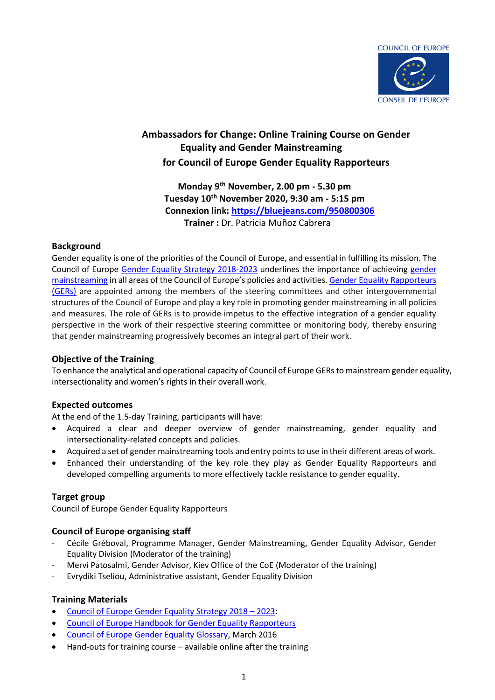

### **Ambassadors for Change: Online Training Course on Gender Equality and Gender Mainstreaming for Council of Europe Gender Equality Rapporteurs**

**Monday 9th November, 2.00 pm - 5.30 pm Tuesday 10th November 2020, 9:30 am - 5:15 pm Connexion link:<https://bluejeans.com/950800306> Trainer :** Dr. Patricia Muñoz Cabrera

#### **Background**

Gender equality is one of the priorities of the Council of Europe, and essential in fulfilling its mission. The Council of Europe [Gender Equality Strategy 2018-2023](https://rm.coe.int/prems-093618-gbr-gender-equality-strategy-2023-web-a5/16808b47e1) underlines the importance of achieving [gender](https://www.coe.int/en/web/genderequality/gender-mainstreaming)  [mainstreaming](https://www.coe.int/en/web/genderequality/gender-mainstreaming) in all areas of the Council of Europe's policies and activities. [Gender Equality Rapporteurs](https://www.coe.int/en/web/genderequality/gender-equality-rapporteurs)  [\(GERs\)](https://www.coe.int/en/web/genderequality/gender-equality-rapporteurs) are appointed among the members of the steering committees and other intergovernmental structures of the Council of Europe and play a key role in promoting gender mainstreaming in all policies and measures. The role of GERs is to provide impetus to the effective integration of a gender equality perspective in the work of their respective steering committee or monitoring body, thereby ensuring that gender mainstreaming progressively becomes an integral part of their work.

#### **Objective of the Training**

To enhance the analytical and operational capacity of Council of Europe GERs to mainstream gender equality, intersectionality and women's rights in their overall work.

#### **Expected outcomes**

At the end of the 1.5-day Training, participants will have:

- Acquired a clear and deeper overview of gender mainstreaming, gender equality and intersectionality-related concepts and policies.
- Acquired a set of gender mainstreaming tools and entry pointsto use in their different areas of work.
- Enhanced their understanding of the key role they play as Gender Equality Rapporteurs and developed compelling arguments to more effectively tackle resistance to gender equality.

#### **Target group**

Council of Europe Gender Equality Rapporteurs

#### **Council of Europe organising staff**

- Cécile Gréboval, Programme Manager, Gender Mainstreaming, Gender Equality Advisor, Gender Equality Division (Moderator of the training)
- Mervi Patosalmi, Gender Advisor, Kiev Office of the CoE (Moderator of the training)
- Evrydiki Tseliou, Administrative assistant, Gender Equality Division

#### **Training Materials**

- [Council of Europe Gender Equality Strategy 2018](https://rm.coe.int/strategy-en-2018-2023/16807b58eb)  2023:
- [Council of Europe Handbook for Gender Equality Rapporteurs](https://www.coe.int/en/web/genderequality/gender-equality-rapporteurs)
- Council of Europe [Gender Equality Glossary,](https://rm.coe.int/CoERMPublicCommonSearchServices/DisplayDCTMContent?documentId=09000016805e55eb) March 2016
- Hand-outs for training course available online after the training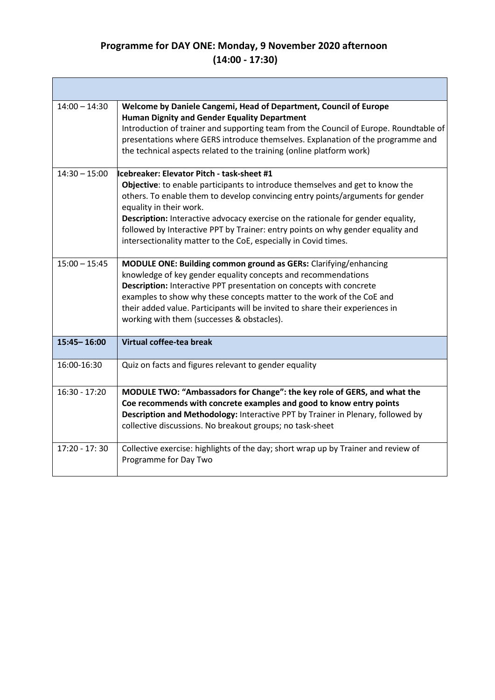## **Programme for DAY ONE: Monday, 9 November 2020 afternoon (14:00 - 17:30)**

**The State** 

| $14:00 - 14:30$ | Welcome by Daniele Cangemi, Head of Department, Council of Europe<br><b>Human Dignity and Gender Equality Department</b><br>Introduction of trainer and supporting team from the Council of Europe. Roundtable of<br>presentations where GERS introduce themselves. Explanation of the programme and<br>the technical aspects related to the training (online platform work)                                                                                                       |
|-----------------|------------------------------------------------------------------------------------------------------------------------------------------------------------------------------------------------------------------------------------------------------------------------------------------------------------------------------------------------------------------------------------------------------------------------------------------------------------------------------------|
| $14:30 - 15:00$ | lcebreaker: Elevator Pitch - task-sheet #1<br>Objective: to enable participants to introduce themselves and get to know the<br>others. To enable them to develop convincing entry points/arguments for gender<br>equality in their work.<br>Description: Interactive advocacy exercise on the rationale for gender equality,<br>followed by Interactive PPT by Trainer: entry points on why gender equality and<br>intersectionality matter to the CoE, especially in Covid times. |
| $15:00 - 15:45$ | MODULE ONE: Building common ground as GERs: Clarifying/enhancing<br>knowledge of key gender equality concepts and recommendations<br>Description: Interactive PPT presentation on concepts with concrete<br>examples to show why these concepts matter to the work of the CoE and<br>their added value. Participants will be invited to share their experiences in<br>working with them (successes & obstacles).                                                                   |
| $15:45 - 16:00$ | Virtual coffee-tea break                                                                                                                                                                                                                                                                                                                                                                                                                                                           |
| 16:00-16:30     | Quiz on facts and figures relevant to gender equality                                                                                                                                                                                                                                                                                                                                                                                                                              |
| $16:30 - 17:20$ | MODULE TWO: "Ambassadors for Change": the key role of GERS, and what the<br>Coe recommends with concrete examples and good to know entry points<br>Description and Methodology: Interactive PPT by Trainer in Plenary, followed by<br>collective discussions. No breakout groups; no task-sheet                                                                                                                                                                                    |
| $17:20 - 17:30$ | Collective exercise: highlights of the day; short wrap up by Trainer and review of<br>Programme for Day Two                                                                                                                                                                                                                                                                                                                                                                        |